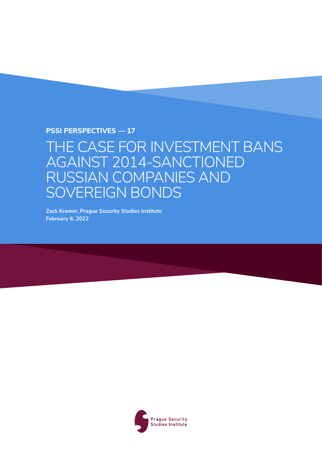**PSSI Perspectives — 17**

## THE CASE FOR INVESTMENT BANS AGAINST 2014-SANCTIONED RUSSIAN COMPANIES AND SOVEREIGN BONDS

**Zack Kramer, Prague Security Studies Institute February 6, 2022**

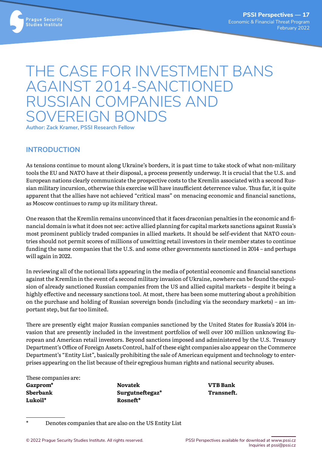

# THE CASE FOR INVESTMENT BANS AGAINST 2014-SANCTIONED RUSSIAN COMPANIES AND SOVEREIGN BONDS

**Author: Zack Kramer, PSSI Research Fellow**

#### **INTRODUCTION**

As tensions continue to mount along Ukraine's borders, it is past time to take stock of what non-military tools the EU and NATO have at their disposal, a process presently underway. It is crucial that the U.S. and European nations clearly communicate the prospective costs to the Kremlin associated with a second Russian military incursion, otherwise this exercise will have insufficient deterrence value. Thus far, it is quite apparent that the allies have not achieved "critical mass" on menacing economic and financial sanctions, as Moscow continues to ramp up its military threat.

One reason that the Kremlin remains unconvinced that it faces draconian penalties in the economic and financial domain is what it does not see: active allied planning for capital markets sanctions against Russia's most prominent publicly traded companies in allied markets. It should be self-evident that NATO countries should not permit scores of millions of unwitting retail investors in their member states to continue funding the same companies that the U.S. and some other governments sanctioned in 2014 – and perhaps will again in 2022.

In reviewing all of the notional lists appearing in the media of potential economic and financial sanctions against the Kremlin in the event of a second military invasion of Ukraine, nowhere can be found the expulsion of already sanctioned Russian companies from the US and allied capital markets – despite it being a highly effective and necessary sanctions tool. At most, there has been some muttering about a prohibition on the purchase and holding of Russian sovereign bonds (including via the secondary markets) – an important step, but far too limited.

There are presently eight major Russian companies sanctioned by the United States for Russia's 2014 invasion that are presently included in the investment portfolios of well over 100 million unknowing European and American retail investors. Beyond sanctions imposed and administered by the U.S. Treasury Department's Office of Foreign Assets Control, half of these eight companies also appear on the Commerce Department's "Entity List", basically prohibiting the sale of American equipment and technology to enterprises appearing on the list because of their egregious human rights and national security abuses.

These companies are:

**Gazprom\* Sberbank Lukoil\***

**Novatek Surgutneftegaz\* Rosneft\***

**VTB Bank Transneft.** 

\* Denotes companies that are also on the US Entity List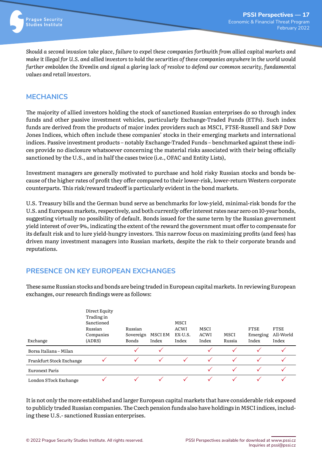

*Should a second invasion take place, failure to expel these companies forthwith from allied capital markets and make it illegal for U.S. and allied investors to hold the securities of these companies anywhere in the world would further embolden the Kremlin and signal a glaring lack of resolve to defend our common security, fundamental values and retail investors.* 

#### **MECHANICS**

The majority of allied investors holding the stock of sanctioned Russian enterprises do so through index funds and other passive investment vehicles, particularly Exchange-Traded Funds (ETFs). Such index funds are derived from the products of major index providers such as MSCI, FTSE-Russell and S&P Dow Jones Indices, which often include these companies' stocks in their emerging markets and international indices. Passive investment products – notably Exchange-Traded Funds – benchmarked against these indices provide no disclosure whatsoever concerning the material risks associated with their being officially sanctioned by the U.S., and in half the cases twice (i.e., OFAC and Entity Lists),

Investment managers are generally motivated to purchase and hold risky Russian stocks and bonds because of the higher rates of profit they offer compared to their lower-risk, lower-return Western corporate counterparts. This risk/reward tradeoff is particularly evident in the bond markets.

U.S. Treasury bills and the German bund serve as benchmarks for low-yield, minimal-risk bonds for the U.S. and European markets, respectively, and both currently offer interest rates near zero on 10-year bonds, suggesting virtually no possibility of default. Bonds issued for the same term by the Russian government yield interest of over 9%, indicating the extent of the reward the government must offer to compensate for its default risk and to lure yield-hungry investors. This narrow focus on maximizing profits (and fees) has driven many investment managers into Russian markets, despite the risk to their corporate brands and reputations.

### **PRESENCE ON KEY EUROPEAN EXCHANGES**

These same Russian stocks and bonds are being traded in European capital markets. In reviewing European exchanges, our research findings were as follows:

|                          | Direct Equity<br>Trading in                  |                               |                  |                                  |                       |                |                                  |                            |
|--------------------------|----------------------------------------------|-------------------------------|------------------|----------------------------------|-----------------------|----------------|----------------------------------|----------------------------|
| Exchange                 | Sanctioned<br>Russian<br>Companies<br>(ADRS) | Russian<br>Sovereign<br>Bonds | MSCI EM<br>Index | MSCI<br>ACWI<br>EX-U.S.<br>Index | MSCI<br>ACWI<br>Index | MSCI<br>Russia | <b>FTSE</b><br>Emerging<br>Index | FTSE<br>All-World<br>Index |
| Borsa Italiana – Milan   |                                              |                               |                  |                                  |                       |                |                                  |                            |
| Frankfurt Stock Exchange |                                              |                               |                  |                                  |                       |                |                                  |                            |
| Euronext Paris           |                                              |                               |                  |                                  |                       |                |                                  |                            |
| London STock Exchange    |                                              |                               |                  |                                  |                       |                |                                  |                            |

It is not only the more established and larger European capital markets that have considerable risk exposed to publicly traded Russian companies. The Czech pension funds also have holdings in MSCI indices, including these U.S.- sanctioned Russian enterprises.